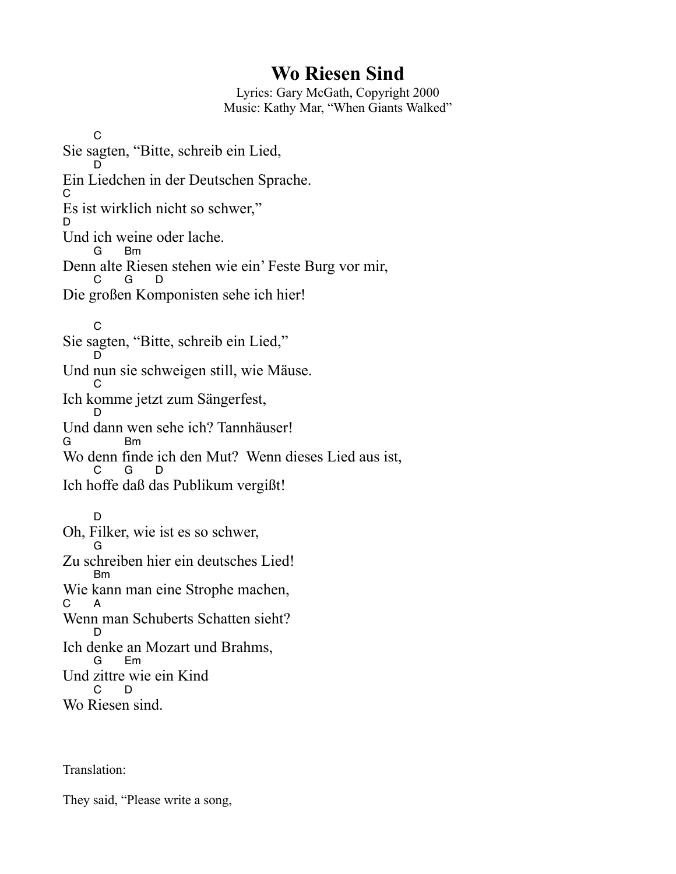## **Wo Riesen Sind**

Lyrics: Gary McGath, Copyright 2000 Music: Kathy Mar, "When Giants Walked"

C Sie sagten, "Bitte, schreib ein Lied, D Ein Liedchen in der Deutschen Sprache. C Es ist wirklich nicht so schwer," D. Und ich weine oder lache. G Bm Denn alte Riesen stehen wie ein' Feste Burg vor mir,<br>C G D  $G$ Die großen Komponisten sehe ich hier!  $\mathcal{C}$ Sie sagten, "Bitte, schreib ein Lied," D Und nun sie schweigen still, wie Mäuse. C Ich komme jetzt zum Sängerfest, D Und dann wen sehe ich? Tannhäuser! G Bm Wo denn finde ich den Mut? Wenn dieses Lied aus ist,  $C_{\text{G}}$ C G D Ich hoffe daß das Publikum vergißt! D Oh, Filker, wie ist es so schwer, G Zu schreiben hier ein deutsches Lied! Bm Wie kann man eine Strophe machen,  $\rm C$ Wenn man Schuberts Schatten sieht? D Ich denke an Mozart und Brahms, G Em Und zittre wie ein Kind C D Wo Riesen sind.

Translation:

They said, "Please write a song,